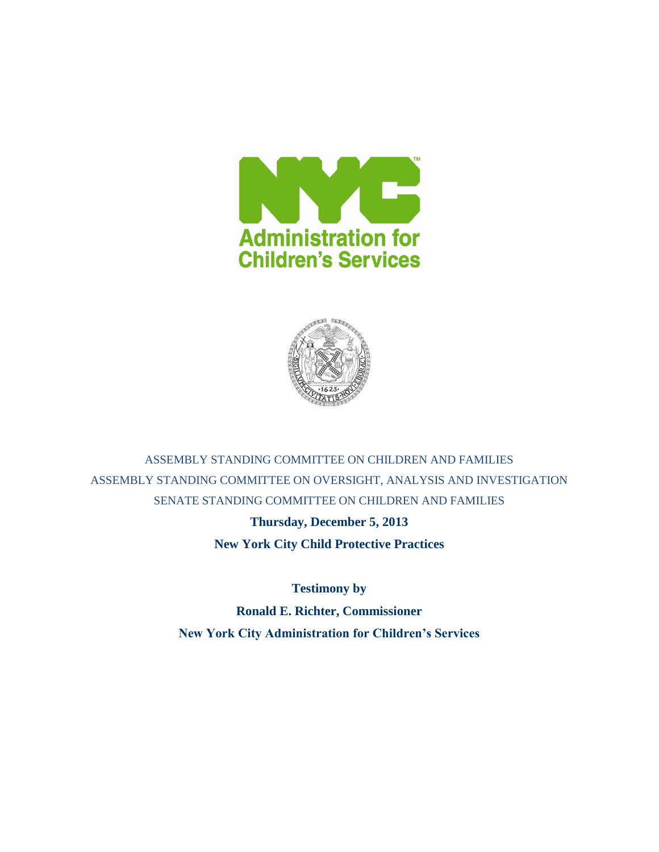



ASSEMBLY STANDING COMMITTEE ON CHILDREN AND FAMILIES ASSEMBLY STANDING COMMITTEE ON OVERSIGHT, ANALYSIS AND INVESTIGATION SENATE STANDING COMMITTEE ON CHILDREN AND FAMILIES

> **Thursday, December 5, 2013 New York City Child Protective Practices**

**Testimony by Ronald E. Richter, Commissioner New York City Administration for Children's Services**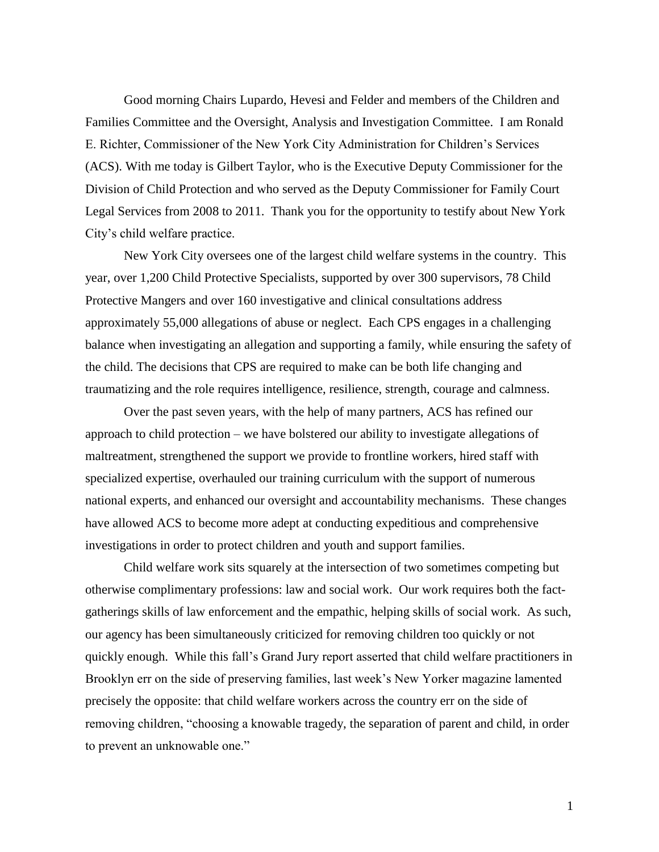Good morning Chairs Lupardo, Hevesi and Felder and members of the Children and Families Committee and the Oversight, Analysis and Investigation Committee. I am Ronald E. Richter, Commissioner of the New York City Administration for Children's Services (ACS). With me today is Gilbert Taylor, who is the Executive Deputy Commissioner for the Division of Child Protection and who served as the Deputy Commissioner for Family Court Legal Services from 2008 to 2011. Thank you for the opportunity to testify about New York City's child welfare practice.

New York City oversees one of the largest child welfare systems in the country. This year, over 1,200 Child Protective Specialists, supported by over 300 supervisors, 78 Child Protective Mangers and over 160 investigative and clinical consultations address approximately 55,000 allegations of abuse or neglect. Each CPS engages in a challenging balance when investigating an allegation and supporting a family, while ensuring the safety of the child. The decisions that CPS are required to make can be both life changing and traumatizing and the role requires intelligence, resilience, strength, courage and calmness.

Over the past seven years, with the help of many partners, ACS has refined our approach to child protection – we have bolstered our ability to investigate allegations of maltreatment, strengthened the support we provide to frontline workers, hired staff with specialized expertise, overhauled our training curriculum with the support of numerous national experts, and enhanced our oversight and accountability mechanisms. These changes have allowed ACS to become more adept at conducting expeditious and comprehensive investigations in order to protect children and youth and support families.

Child welfare work sits squarely at the intersection of two sometimes competing but otherwise complimentary professions: law and social work. Our work requires both the factgatherings skills of law enforcement and the empathic, helping skills of social work. As such, our agency has been simultaneously criticized for removing children too quickly or not quickly enough. While this fall's Grand Jury report asserted that child welfare practitioners in Brooklyn err on the side of preserving families, last week's New Yorker magazine lamented precisely the opposite: that child welfare workers across the country err on the side of removing children, "choosing a knowable tragedy, the separation of parent and child, in order to prevent an unknowable one."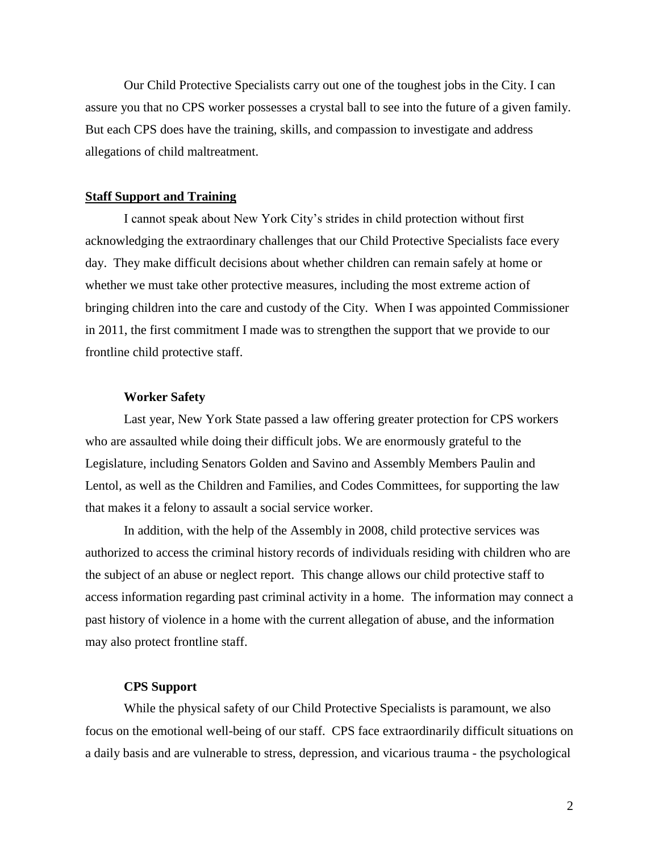Our Child Protective Specialists carry out one of the toughest jobs in the City. I can assure you that no CPS worker possesses a crystal ball to see into the future of a given family. But each CPS does have the training, skills, and compassion to investigate and address allegations of child maltreatment.

## **Staff Support and Training**

I cannot speak about New York City's strides in child protection without first acknowledging the extraordinary challenges that our Child Protective Specialists face every day. They make difficult decisions about whether children can remain safely at home or whether we must take other protective measures, including the most extreme action of bringing children into the care and custody of the City. When I was appointed Commissioner in 2011, the first commitment I made was to strengthen the support that we provide to our frontline child protective staff.

## **Worker Safety**

Last year, New York State passed a law offering greater protection for CPS workers who are assaulted while doing their difficult jobs. We are enormously grateful to the Legislature, including Senators Golden and Savino and Assembly Members Paulin and Lentol, as well as the Children and Families, and Codes Committees, for supporting the law that makes it a felony to assault a social service worker.

In addition, with the help of the Assembly in 2008, child protective services was authorized to access the criminal history records of individuals residing with children who are the subject of an abuse or neglect report. This change allows our child protective staff to access information regarding past criminal activity in a home. The information may connect a past history of violence in a home with the current allegation of abuse, and the information may also protect frontline staff.

# **CPS Support**

While the physical safety of our Child Protective Specialists is paramount, we also focus on the emotional well-being of our staff. CPS face extraordinarily difficult situations on a daily basis and are vulnerable to stress, depression, and vicarious trauma - the psychological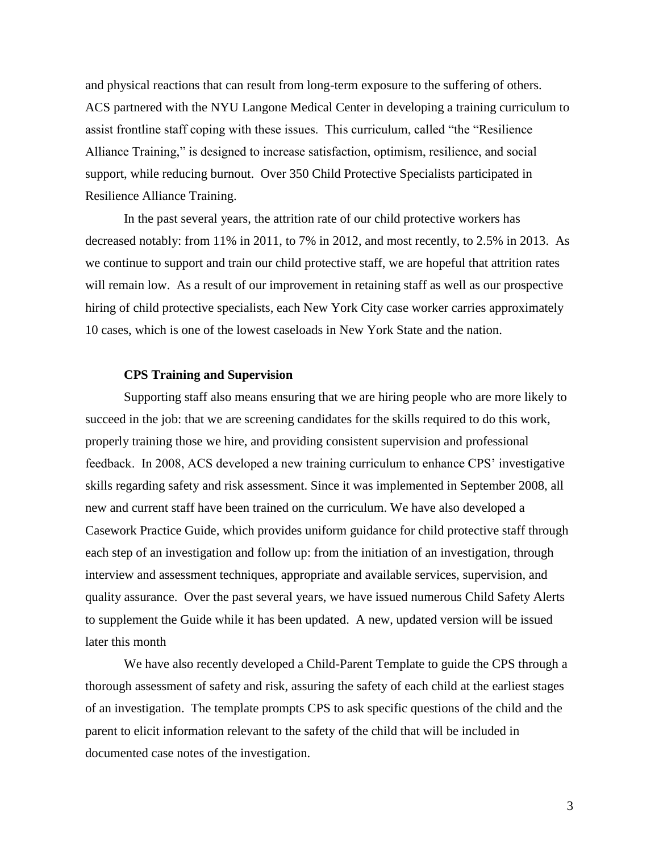and physical reactions that can result from long-term exposure to the suffering of others. ACS partnered with the NYU Langone Medical Center in developing a training curriculum to assist frontline staff coping with these issues. This curriculum, called "the "Resilience Alliance Training," is designed to increase satisfaction, optimism, resilience, and social support, while reducing burnout. Over 350 Child Protective Specialists participated in Resilience Alliance Training.

In the past several years, the attrition rate of our child protective workers has decreased notably: from 11% in 2011, to 7% in 2012, and most recently, to 2.5% in 2013. As we continue to support and train our child protective staff, we are hopeful that attrition rates will remain low. As a result of our improvement in retaining staff as well as our prospective hiring of child protective specialists, each New York City case worker carries approximately 10 cases, which is one of the lowest caseloads in New York State and the nation.

## **CPS Training and Supervision**

Supporting staff also means ensuring that we are hiring people who are more likely to succeed in the job: that we are screening candidates for the skills required to do this work, properly training those we hire, and providing consistent supervision and professional feedback. In 2008, ACS developed a new training curriculum to enhance CPS' investigative skills regarding safety and risk assessment. Since it was implemented in September 2008, all new and current staff have been trained on the curriculum. We have also developed a Casework Practice Guide, which provides uniform guidance for child protective staff through each step of an investigation and follow up: from the initiation of an investigation, through interview and assessment techniques, appropriate and available services, supervision, and quality assurance. Over the past several years, we have issued numerous Child Safety Alerts to supplement the Guide while it has been updated. A new, updated version will be issued later this month

We have also recently developed a Child-Parent Template to guide the CPS through a thorough assessment of safety and risk, assuring the safety of each child at the earliest stages of an investigation. The template prompts CPS to ask specific questions of the child and the parent to elicit information relevant to the safety of the child that will be included in documented case notes of the investigation.

3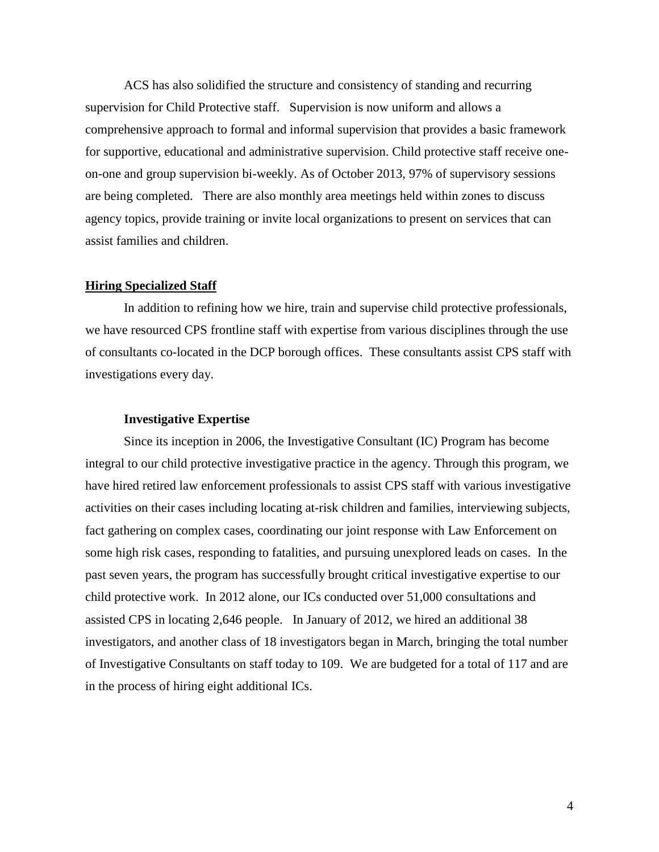ACS has also solidified the structure and consistency of standing and recurring supervision for Child Protective staff. Supervision is now uniform and allows a comprehensive approach to formal and informal supervision that provides a basic framework for supportive, educational and administrative supervision. Child protective staff receive oneon-one and group supervision bi-weekly. As of October 2013, 97% of supervisory sessions are being completed. There are also monthly area meetings held within zones to discuss agency topics, provide training or invite local organizations to present on services that can assist families and children.

## **Hiring Specialized Staff**

In addition to refining how we hire, train and supervise child protective professionals, we have resourced CPS frontline staff with expertise from various disciplines through the use of consultants co-located in the DCP borough offices. These consultants assist CPS staff with investigations every day.

## **Investigative Expertise**

Since its inception in 2006, the Investigative Consultant (IC) Program has become integral to our child protective investigative practice in the agency. Through this program, we have hired retired law enforcement professionals to assist CPS staff with various investigative activities on their cases including locating at-risk children and families, interviewing subjects, fact gathering on complex cases, coordinating our joint response with Law Enforcement on some high risk cases, responding to fatalities, and pursuing unexplored leads on cases. In the past seven years, the program has successfully brought critical investigative expertise to our child protective work. In 2012 alone, our ICs conducted over 51,000 consultations and assisted CPS in locating 2,646 people. In January of 2012, we hired an additional 38 investigators, and another class of 18 investigators began in March, bringing the total number of Investigative Consultants on staff today to 109. We are budgeted for a total of 117 and are in the process of hiring eight additional ICs.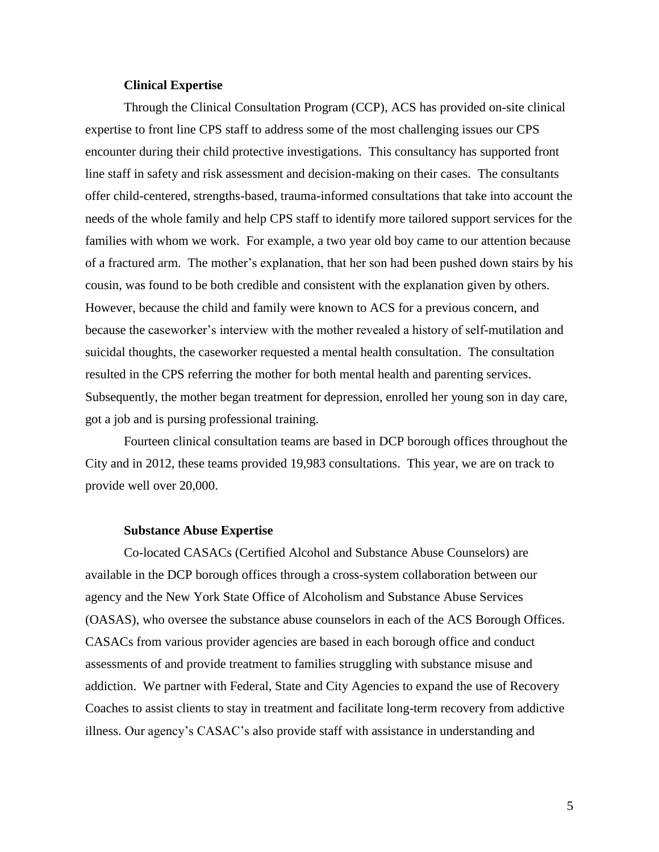#### **Clinical Expertise**

Through the Clinical Consultation Program (CCP), ACS has provided on-site clinical expertise to front line CPS staff to address some of the most challenging issues our CPS encounter during their child protective investigations. This consultancy has supported front line staff in safety and risk assessment and decision-making on their cases. The consultants offer child-centered, strengths-based, trauma-informed consultations that take into account the needs of the whole family and help CPS staff to identify more tailored support services for the families with whom we work. For example, a two year old boy came to our attention because of a fractured arm. The mother's explanation, that her son had been pushed down stairs by his cousin, was found to be both credible and consistent with the explanation given by others. However, because the child and family were known to ACS for a previous concern, and because the caseworker's interview with the mother revealed a history of self-mutilation and suicidal thoughts, the caseworker requested a mental health consultation. The consultation resulted in the CPS referring the mother for both mental health and parenting services. Subsequently, the mother began treatment for depression, enrolled her young son in day care, got a job and is pursing professional training.

Fourteen clinical consultation teams are based in DCP borough offices throughout the City and in 2012, these teams provided 19,983 consultations. This year, we are on track to provide well over 20,000.

#### **Substance Abuse Expertise**

Co-located CASACs (Certified Alcohol and Substance Abuse Counselors) are available in the DCP borough offices through a cross-system collaboration between our agency and the New York State Office of Alcoholism and Substance Abuse Services (OASAS), who oversee the substance abuse counselors in each of the ACS Borough Offices. CASACs from various provider agencies are based in each borough office and conduct assessments of and provide treatment to families struggling with substance misuse and addiction. We partner with Federal, State and City Agencies to expand the use of Recovery Coaches to assist clients to stay in treatment and facilitate long-term recovery from addictive illness. Our agency's CASAC's also provide staff with assistance in understanding and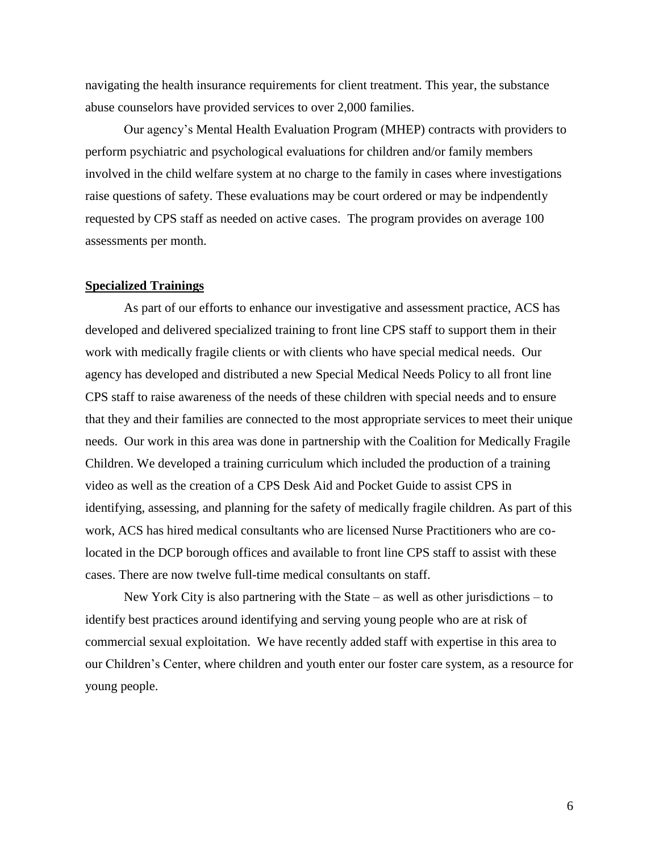navigating the health insurance requirements for client treatment. This year, the substance abuse counselors have provided services to over 2,000 families.

Our agency's Mental Health Evaluation Program (MHEP) contracts with providers to perform psychiatric and psychological evaluations for children and/or family members involved in the child welfare system at no charge to the family in cases where investigations raise questions of safety. These evaluations may be court ordered or may be indpendently requested by CPS staff as needed on active cases. The program provides on average 100 assessments per month.

## **Specialized Trainings**

As part of our efforts to enhance our investigative and assessment practice, ACS has developed and delivered specialized training to front line CPS staff to support them in their work with medically fragile clients or with clients who have special medical needs. Our agency has developed and distributed a new Special Medical Needs Policy to all front line CPS staff to raise awareness of the needs of these children with special needs and to ensure that they and their families are connected to the most appropriate services to meet their unique needs. Our work in this area was done in partnership with the Coalition for Medically Fragile Children. We developed a training curriculum which included the production of a training video as well as the creation of a CPS Desk Aid and Pocket Guide to assist CPS in identifying, assessing, and planning for the safety of medically fragile children. As part of this work, ACS has hired medical consultants who are licensed Nurse Practitioners who are colocated in the DCP borough offices and available to front line CPS staff to assist with these cases. There are now twelve full-time medical consultants on staff.

New York City is also partnering with the State – as well as other jurisdictions – to identify best practices around identifying and serving young people who are at risk of commercial sexual exploitation. We have recently added staff with expertise in this area to our Children's Center, where children and youth enter our foster care system, as a resource for young people.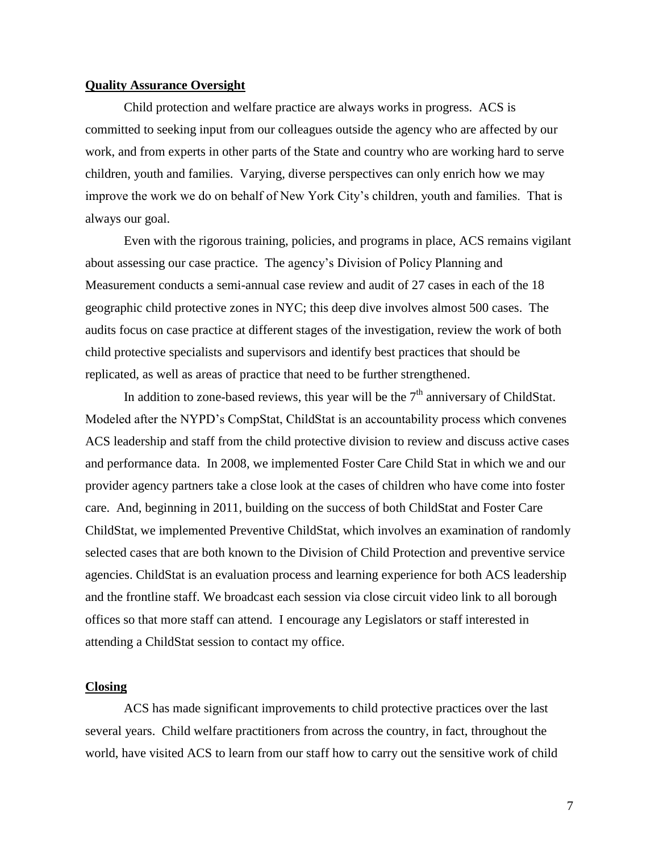#### **Quality Assurance Oversight**

Child protection and welfare practice are always works in progress. ACS is committed to seeking input from our colleagues outside the agency who are affected by our work, and from experts in other parts of the State and country who are working hard to serve children, youth and families. Varying, diverse perspectives can only enrich how we may improve the work we do on behalf of New York City's children, youth and families. That is always our goal.

Even with the rigorous training, policies, and programs in place, ACS remains vigilant about assessing our case practice. The agency's Division of Policy Planning and Measurement conducts a semi-annual case review and audit of 27 cases in each of the 18 geographic child protective zones in NYC; this deep dive involves almost 500 cases. The audits focus on case practice at different stages of the investigation, review the work of both child protective specialists and supervisors and identify best practices that should be replicated, as well as areas of practice that need to be further strengthened.

In addition to zone-based reviews, this year will be the  $7<sup>th</sup>$  anniversary of ChildStat. Modeled after the NYPD's CompStat, ChildStat is an accountability process which convenes ACS leadership and staff from the child protective division to review and discuss active cases and performance data. In 2008, we implemented Foster Care Child Stat in which we and our provider agency partners take a close look at the cases of children who have come into foster care. And, beginning in 2011, building on the success of both ChildStat and Foster Care ChildStat, we implemented Preventive ChildStat, which involves an examination of randomly selected cases that are both known to the Division of Child Protection and preventive service agencies. ChildStat is an evaluation process and learning experience for both ACS leadership and the frontline staff. We broadcast each session via close circuit video link to all borough offices so that more staff can attend. I encourage any Legislators or staff interested in attending a ChildStat session to contact my office.

## **Closing**

ACS has made significant improvements to child protective practices over the last several years. Child welfare practitioners from across the country, in fact, throughout the world, have visited ACS to learn from our staff how to carry out the sensitive work of child